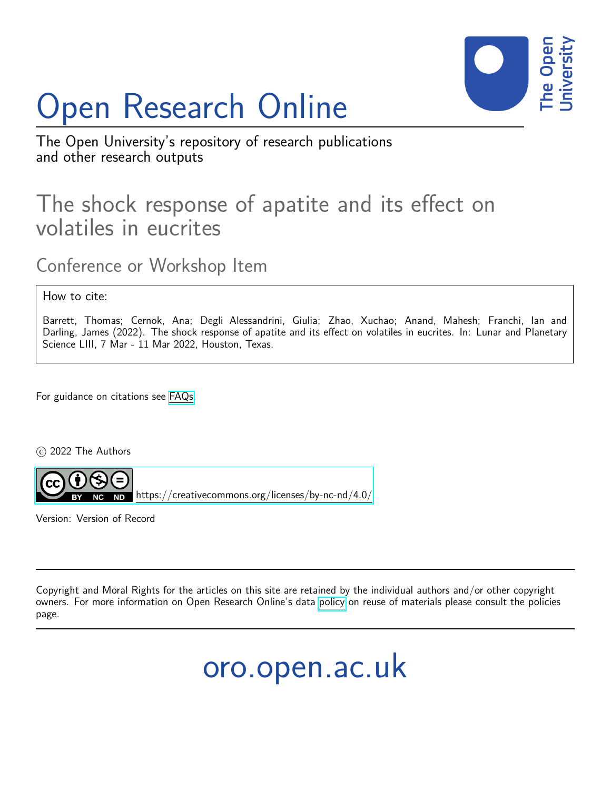## Open Research Online



The Open University's repository of research publications and other research outputs

## The shock response of apatite and its effect on volatiles in eucrites

Conference or Workshop Item

How to cite:

Barrett, Thomas; Cernok, Ana; Degli Alessandrini, Giulia; Zhao, Xuchao; Anand, Mahesh; Franchi, Ian and Darling, James (2022). The shock response of apatite and its effect on volatiles in eucrites. In: Lunar and Planetary Science LIII, 7 Mar - 11 Mar 2022, Houston, Texas.

For guidance on citations see [FAQs.](http://oro.open.ac.uk/help/helpfaq.html)

c 2022 The Authors



<https://creativecommons.org/licenses/by-nc-nd/4.0/>

Version: Version of Record

Copyright and Moral Rights for the articles on this site are retained by the individual authors and/or other copyright owners. For more information on Open Research Online's data [policy](http://oro.open.ac.uk/policies.html) on reuse of materials please consult the policies page.

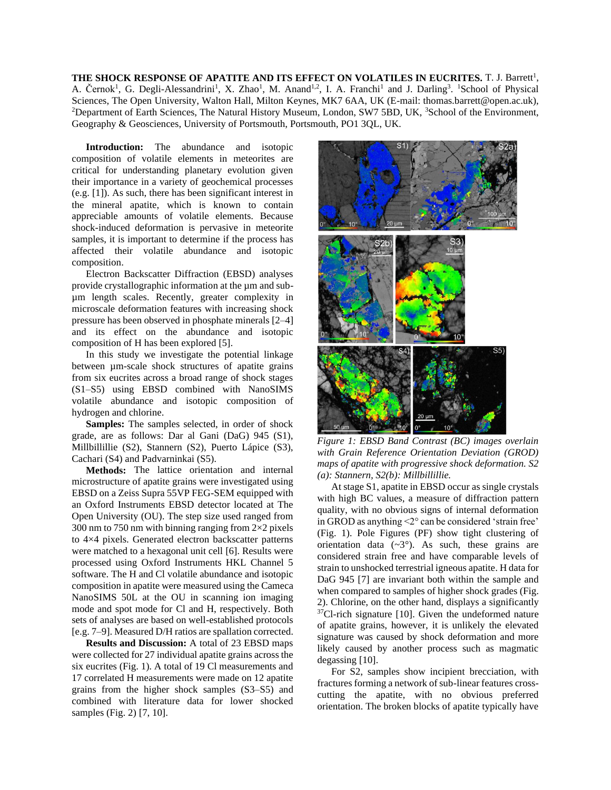THE SHOCK RESPONSE OF APATITE AND ITS EFFECT ON VOLATILES IN EUCRITES. T. J. Barrett<sup>1</sup>, A. Černok<sup>1</sup>, G. Degli-Alessandrini<sup>1</sup>, X. Zhao<sup>1</sup>, M. Anand<sup>1,2</sup>, I. A. Franchi<sup>1</sup> and J. Darling<sup>3</sup>. <sup>1</sup>School of Physical Sciences, The Open University, Walton Hall, Milton Keynes, MK7 6AA, UK (E-mail: thomas.barrett@open.ac.uk), <sup>2</sup>Department of Earth Sciences, The Natural History Museum, London, SW7 5BD, UK, <sup>3</sup>School of the Environment, Geography & Geosciences, University of Portsmouth, Portsmouth, PO1 3QL, UK.

**Introduction:** The abundance and isotopic composition of volatile elements in meteorites are critical for understanding planetary evolution given their importance in a variety of geochemical processes (e.g. [1]). As such, there has been significant interest in the mineral apatite, which is known to contain appreciable amounts of volatile elements. Because shock-induced deformation is pervasive in meteorite samples, it is important to determine if the process has affected their volatile abundance and isotopic composition.

Electron Backscatter Diffraction (EBSD) analyses provide crystallographic information at the  $\mu$ m and subµm length scales. Recently, greater complexity in microscale deformation features with increasing shock pressure has been observed in phosphate minerals [2–4] and its effect on the abundance and isotopic composition of H has been explored [5].

In this study we investigate the potential linkage between µm-scale shock structures of apatite grains from six eucrites across a broad range of shock stages (S1–S5) using EBSD combined with NanoSIMS volatile abundance and isotopic composition of hydrogen and chlorine.

**Samples:** The samples selected, in order of shock grade, are as follows: Dar al Gani (DaG) 945 (S1), Millbillillie (S2), Stannern (S2), Puerto Lápice (S3), Cachari (S4) and Padvarninkai (S5).

**Methods:** The lattice orientation and internal microstructure of apatite grains were investigated using EBSD on a Zeiss Supra 55VP FEG-SEM equipped with an Oxford Instruments EBSD detector located at The Open University (OU). The step size used ranged from 300 nm to 750 nm with binning ranging from  $2\times2$  pixels to 4×4 pixels. Generated electron backscatter patterns were matched to a hexagonal unit cell [6]. Results were processed using Oxford Instruments HKL Channel 5 software. The H and Cl volatile abundance and isotopic composition in apatite were measured using the Cameca NanoSIMS 50L at the OU in scanning ion imaging mode and spot mode for Cl and H, respectively. Both sets of analyses are based on well-established protocols [e.g. 7–9]. Measured D/H ratios are spallation corrected.

**Results and Discussion:** A total of 23 EBSD maps were collected for 27 individual apatite grains across the six eucrites (Fig. 1). A total of 19 Cl measurements and 17 correlated H measurements were made on 12 apatite grains from the higher shock samples (S3–S5) and combined with literature data for lower shocked samples (Fig. 2) [7, 10].



*Figure 1: EBSD Band Contrast (BC) images overlain with Grain Reference Orientation Deviation (GROD) maps of apatite with progressive shock deformation. S2 (a): Stannern, S2(b): Millbillillie.*

At stage S1, apatite in EBSD occur as single crystals with high BC values, a measure of diffraction pattern quality, with no obvious signs of internal deformation in GROD as anything <2° can be considered 'strain free' (Fig. 1). Pole Figures (PF) show tight clustering of orientation data  $({\sim}3^{\circ})$ . As such, these grains are considered strain free and have comparable levels of strain to unshocked terrestrial igneous apatite. H data for DaG 945 [7] are invariant both within the sample and when compared to samples of higher shock grades (Fig. 2). Chlorine, on the other hand, displays a significantly <sup>37</sup>Cl-rich signature [10]. Given the undeformed nature of apatite grains, however, it is unlikely the elevated signature was caused by shock deformation and more likely caused by another process such as magmatic degassing [10].

For S2, samples show incipient brecciation, with fractures forming a network of sub-linear features crosscutting the apatite, with no obvious preferred orientation. The broken blocks of apatite typically have